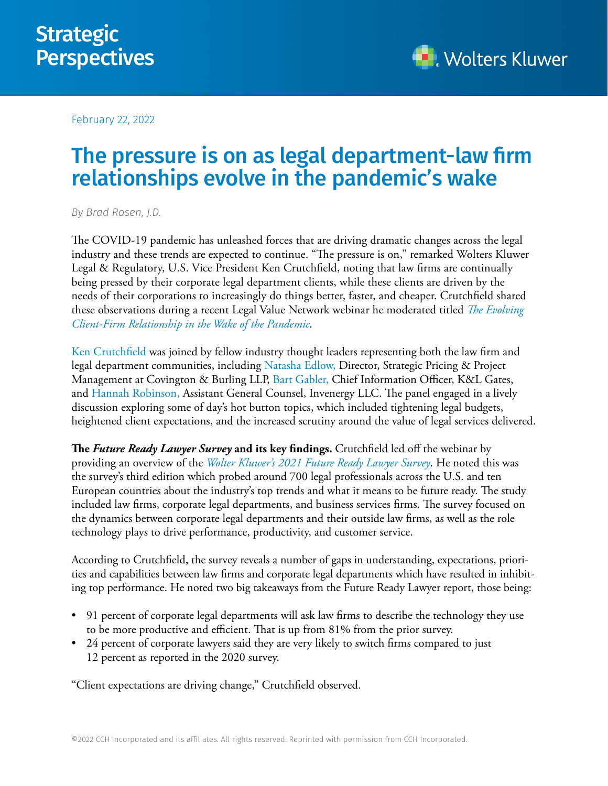

February 22, 2022

## The pressure is on as legal department-law firm relationships evolve in the pandemic's wake

*By [Brad Rosen, J.D.](https://www.linkedin.com/in/brad-rosen-551b736/)*

The COVID-19 pandemic has unleashed forces that are driving dramatic changes across the legal industry and these trends are expected to continue. "The pressure is on," remarked Wolters Kluwer Legal & Regulatory, U.S. Vice President Ken Crutchfield, noting that law firms are continually being pressed by their corporate legal department clients, while these clients are driven by the needs of their corporations to increasingly do things better, faster, and cheaper. Crutchfield shared these observations during a recent Legal Value Network webinar he moderated titled *[The Evolving](https://www.legalvaluenetwork.com/event-details/the-evolving-client-firm-relationship-in-the-wake-of-the-pandemic)  [Client-Firm Relationship in the Wake of the Pandemic.](https://www.legalvaluenetwork.com/event-details/the-evolving-client-firm-relationship-in-the-wake-of-the-pandemic)* 

[Ken Crutchfield](https://www.linkedin.com/in/ken-crutchfield-95b79) was joined by fellow industry thought leaders representing both the law firm and legal department communities, including [Natasha Edlow,](https://www.linkedin.com/in/nmedlow/) Director, Strategic Pricing & Project Management at Covington & Burling LLP, [Bart Gabler,](https://www.klgates.com/Bart-Gabler) Chief Information Officer, K&L Gates, and [Hannah Robinson,](https://www.linkedin.com/in/hannah-robinson-91b6a629/) Assistant General Counsel, Invenergy LLC. The panel engaged in a lively discussion exploring some of day's hot button topics, which included tightening legal budgets, heightened client expectations, and the increased scrutiny around the value of legal services delivered.

**The** *Future Ready Lawyer Survey* **and its key findings.** Crutchfield led off the webinar by providing an overview of the *[Wolter Kluwer's 2021 Future Ready Lawyer Survey](https://business.cch.com/srd/LVNPanelFRLSurveyHighlights.pdf)*. He noted this was the survey's third edition which probed around 700 legal professionals across the U.S. and ten European countries about the industry's top trends and what it means to be future ready. The study included law firms, corporate legal departments, and business services firms. The survey focused on the dynamics between corporate legal departments and their outside law firms, as well as the role technology plays to drive performance, productivity, and customer service.

According to Crutchfield, the survey reveals a number of gaps in understanding, expectations, priorities and capabilities between law firms and corporate legal departments which have resulted in inhibiting top performance. He noted two big takeaways from the Future Ready Lawyer report, those being:

- 91 percent of corporate legal departments will ask law firms to describe the technology they use to be more productive and efficient. That is up from 81% from the prior survey.
- 24 percent of corporate lawyers said they are very likely to switch firms compared to just 12 percent as reported in the 2020 survey.

"Client expectations are driving change," Crutchfield observed.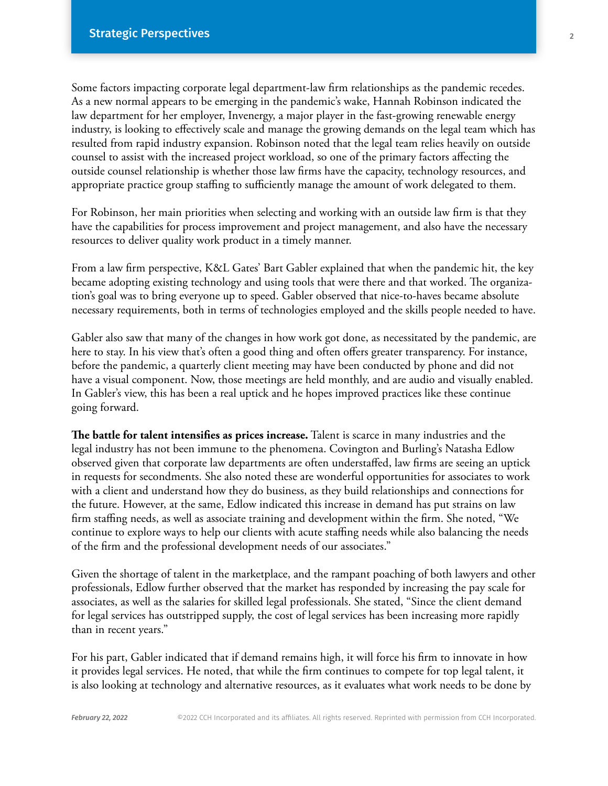Some factors impacting corporate legal department-law firm relationships as the pandemic recedes. As a new normal appears to be emerging in the pandemic's wake, Hannah Robinson indicated the law department for her employer, Invenergy, a major player in the fast-growing renewable energy industry, is looking to effectively scale and manage the growing demands on the legal team which has resulted from rapid industry expansion. Robinson noted that the legal team relies heavily on outside counsel to assist with the increased project workload, so one of the primary factors affecting the outside counsel relationship is whether those law firms have the capacity, technology resources, and appropriate practice group staffing to sufficiently manage the amount of work delegated to them.

For Robinson, her main priorities when selecting and working with an outside law firm is that they have the capabilities for process improvement and project management, and also have the necessary resources to deliver quality work product in a timely manner.

From a law firm perspective, K&L Gates' Bart Gabler explained that when the pandemic hit, the key became adopting existing technology and using tools that were there and that worked. The organization's goal was to bring everyone up to speed. Gabler observed that nice-to-haves became absolute necessary requirements, both in terms of technologies employed and the skills people needed to have.

Gabler also saw that many of the changes in how work got done, as necessitated by the pandemic, are here to stay. In his view that's often a good thing and often offers greater transparency. For instance, before the pandemic, a quarterly client meeting may have been conducted by phone and did not have a visual component. Now, those meetings are held monthly, and are audio and visually enabled. In Gabler's view, this has been a real uptick and he hopes improved practices like these continue going forward.

**The battle for talent intensifies as prices increase.** Talent is scarce in many industries and the legal industry has not been immune to the phenomena. Covington and Burling's Natasha Edlow observed given that corporate law departments are often understaffed, law firms are seeing an uptick in requests for secondments. She also noted these are wonderful opportunities for associates to work with a client and understand how they do business, as they build relationships and connections for the future. However, at the same, Edlow indicated this increase in demand has put strains on law firm staffing needs, as well as associate training and development within the firm. She noted, "We continue to explore ways to help our clients with acute staffing needs while also balancing the needs of the firm and the professional development needs of our associates."

Given the shortage of talent in the marketplace, and the rampant poaching of both lawyers and other professionals, Edlow further observed that the market has responded by increasing the pay scale for associates, as well as the salaries for skilled legal professionals. She stated, "Since the client demand for legal services has outstripped supply, the cost of legal services has been increasing more rapidly than in recent years."

For his part, Gabler indicated that if demand remains high, it will force his firm to innovate in how it provides legal services. He noted, that while the firm continues to compete for top legal talent, it is also looking at technology and alternative resources, as it evaluates what work needs to be done by